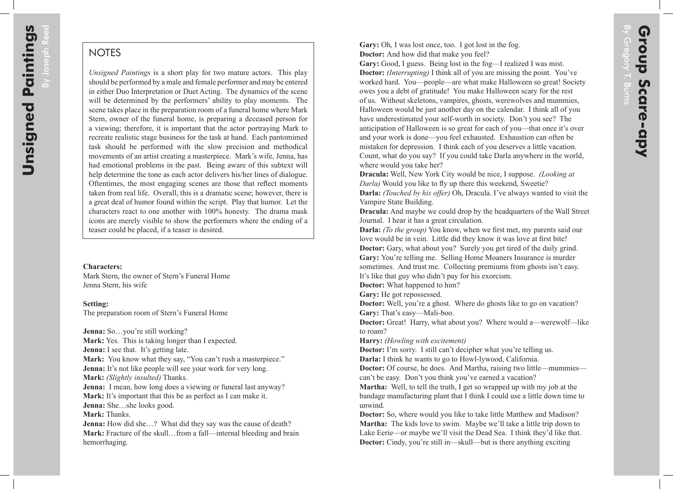## **NOTES**

*Unsigned Paintings* is a short play for two mature actors. This play should be performed by a male and female performer and may be entered in either Duo Interpretation or Duet Acting. The dynamics of the scene will be determined by the performers' ability to play moments. The scene takes place in the preparation room of a funeral home where Mark Stern, owner of the funeral home, is preparing a deceased person for a viewing; therefore, it is important that the actor portraying Mark to recreate realistic stage business for the task at hand. Each pantomimed task should be performed with the slow precision and methodical movements of an artist creating a masterpiece. Mark's wife, Jenna, has had emotional problems in the past. Being aware of this subtext will help determine the tone as each actor delivers his/her lines of dialogue. Oftentimes, the most engaging scenes are those that reflect moments taken from real life. Overall, this is a dramatic scene; however, there is a great deal of humor found within the script. Play that humor. Let the characters react to one another with 100% honesty. The drama mask icons are merely visible to show the performers where the ending of a teaser could be placed, if a teaser is desired.

## **Characters:**

Mark Stern, the owner of Stern's Funeral Home Jenna Stern, his wife

**Setting:** 

The preparation room of Stern's Funeral Home

**Jenna:** So...you're still working? **Mark:** Yes. This is taking longer than I expected. **Jenna:** I see that. It's getting late. **Mark:** You know what they say, "You can't rush a masterpiece." **Jenna:** It's not like people will see your work for very long. **Mark:** *(Slightly insulted)* Thanks. **Jenna:** I mean, how long does a viewing or funeral last anyway? **Mark:** It's important that this be as perfect as I can make it. **Jenna:** She…she looks good. **Mark:** Thanks. **Jenna:** How did she…? What did they say was the cause of death? **Mark:** Fracture of the skull…from a fall—internal bleeding and brain hemorrhaging.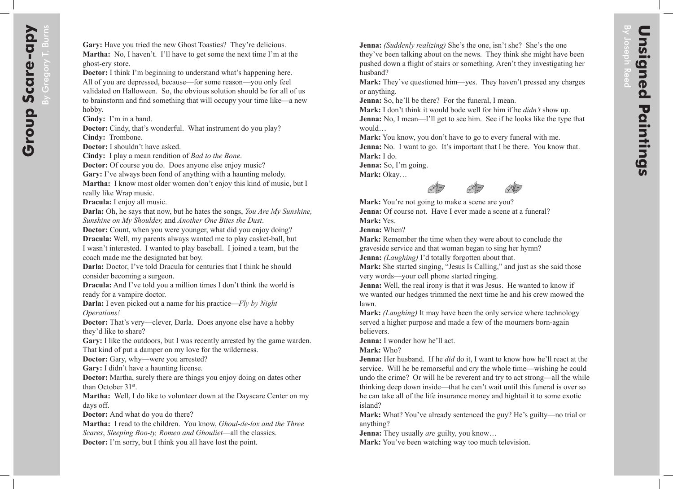**Jenna:** *(Suddenly realizing)* She's the one, isn't she? She's the one they've been talking about on the news. They think she might have been pushed down a flight of stairs or something. Aren't they investigating her husband?

**Mark:** They've questioned him—yes. They haven't pressed any charges or anything.

**Jenna:** So, he'll be there? For the funeral, I mean.

**Mark:** I don't think it would bode well for him if he *didn't* show up.

**Jenna:** No, I mean—I'll get to see him. See if he looks like the type that would…

**Mark:** You know, you don't have to go to every funeral with me.

**Jenna:** No. I want to go. It's important that I be there. You know that. **Mark:** I do.

**Jenna:** So, I'm going.

**Mark:** Okay…



**Mark:** You're not going to make a scene are you?

**Jenna:** Of course not. Have I ever made a scene at a funeral?

**Mark:** Yes.

**Jenna:** When?

**Mark:** Remember the time when they were about to conclude the graveside service and that woman began to sing her hymn?

**Jenna:** *(Laughing)* I'd totally forgotten about that.

**Mark:** She started singing, "Jesus Is Calling," and just as she said those very words—your cell phone started ringing.

**Jenna:** Well, the real irony is that it was Jesus. He wanted to know if we wanted our hedges trimmed the next time he and his crew mowed the lawn.

**Mark:** *(Laughing)* It may have been the only service where technology served a higher purpose and made a few of the mourners born-again believers.

**Jenna:** I wonder how he'll act.

**Mark:** Who?

**Jenna:** Her husband. If he *did* do it, I want to know how he'll react at the service. Will he be remorseful and cry the whole time—wishing he could undo the crime? Or will he be reverent and try to act strong—all the while thinking deep down inside—that he can't wait until this funeral is over so he can take all of the life insurance money and hightail it to some exotic island?

**Mark:** What? You've already sentenced the guy? He's guilty—no trial or anything?

**Jenna:** They usually *are* guilty, you know…

**Mark:** You've been watching way too much television.